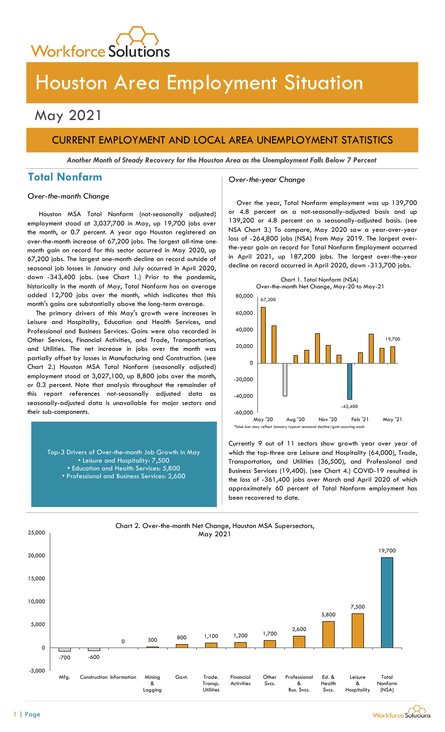

# Houston Area Employment Situation

## May 2021

## CURRENT EMPLOYMENT AND LOCAL AREA UNEMPLOYMENT STATISTICS

Another Month of Steady Recovery for the Houston Area as the Unemployment Falls Below 7 Percent

## Total Nonfarm and Cover-the-year Change

Over-the-month Change

Houston MSA Total Nonfarm (not-seasonally adjusted) employment stood at 3,037,700 in May, up 19,700 jobs over the month, or 0.7 percent. A year ago Houston registered an over-the-month increase of 67,200 jobs. The largest all-time onemonth gain on record for this sector occurred in May 2020, up 67,200 jobs. The largest one-month decline on record outside of seasonal job losses in January and July occurred in April 2020, down -343,400 jobs. (see Chart 1.) Prior to the pandemic, historically in the month of May, Total Nonfarm has on average added 12,700 jobs over the month, which indicates that this month's gains are substantially above the long-term average.

The primary drivers of this May's growth were increases in Leisure and Hospitality, Education and Health Services, and Professional and Business Services. Gains were also recorded in Other Services, Financial Activities, and Trade, Transportation, and Utilities. The net increase in jobs over the month was partially offset by losses in Manufacturing and Construction. (see Chart 2.) Houston MSA Total Nonfarm (seasonally adjusted) employment stood at 3,027,100, up 8,800 jobs over the month, or 0.3 percent. Note that analysis throughout the remainder of this report references not-seasonally adjusted data as seasonally-adjusted data is unavailable for major sectors and their sub-components.

> Top-3 Drivers of Over-the-month Job Growth in May • Leisure and Hospitality: 7,500 • Education and Health Services: 5,800 • Professional and Business Services: 2,600

Over the year, Total Nonfarm employment was up 139,700 or 4.8 percent on a not-seasonally-adjusted basis and up 139,200 or 4.8 percent on a seasonally-adjusted basis. (see NSA Chart 3.) To compare, May 2020 saw a year-over-year loss of -264,800 jobs (NSA) from May 2019. The largest overthe-year gain on record for Total Nonfarm Employment occurred in April 2021, up 187,200 jobs. The largest over-the-year decline on record occurred in April 2020, down -313,700 jobs.



Currently 9 out of 11 sectors show growth year over year of

which the top-three are Leisure and Hospitality (64,000), Trade, Transportation, and Utilities (36,500), and Professional and Business Services (19,400). (see Chart 4.) COVID-19 resulted in the loss of -361,400 jobs over March and April 2020 of which approximately 60 percent of Total Nonfarm employment has been recovered to date.



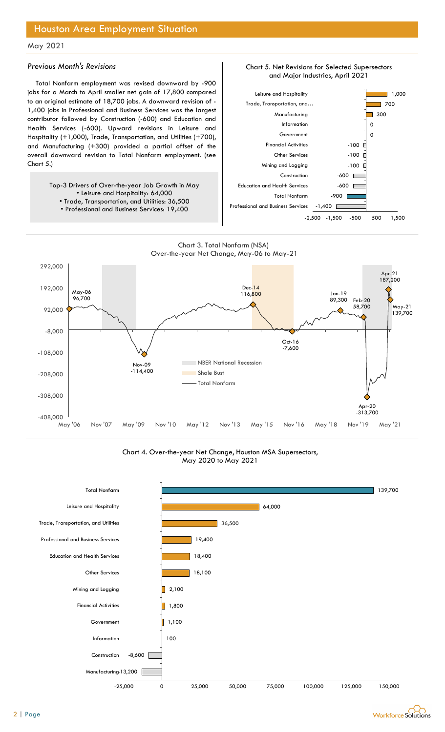## Houston Area Employment Situation

### May 2021

### Previous Month's Revisions

Total Nonfarm employment was revised downward by -900 jobs for a March to April smaller net gain of 17,800 compared to an original estimate of 18,700 jobs. A downward revision of - 1,400 jobs in Professional and Business Services was the largest contributor followed by Construction (-600) and Education and Health Services (-600). Upward revisions in Leisure and Hospitality (+1,000), Trade, Transportation, and Utilities (+700), and Manufacturing (+300) provided a partial offset of the overall downward revision to Total Nonfarm employment. (see Chart 5.)

> Top-3 Drivers of Over-the-year Job Growth in May • Leisure and Hospitality: 64,000 • Trade, Transportation, and Utilities: 36,500

• Professional and Business Services: 19,400



 $-1,400$ 

-900 <u>| Henri Hammed States and American States and American States and American States and American States and </u>

Chart\_997 Chart 5. Net Revisions for Selected Supersectors

Chart 3. Total Nonfarm (NSA) Over-the-year Net Change, May-06 to May-21

Professional and Business Services



Chart 4. Over-the-year Net Change, Houston MSA Supersectors, May 2020 to May 2021



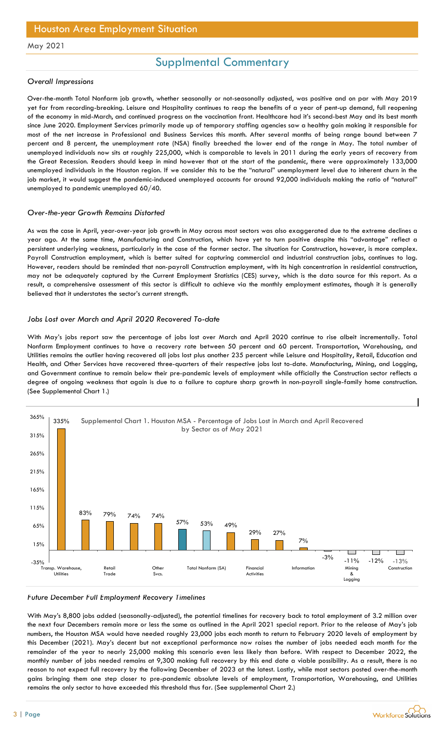## Supplmental Commentary

### Overall Impressions

Over-the-month Total Nonfarm job growth, whether seasonally or not-seasonally adjusted, was positive and on par with May 2019 yet far from recording-breaking. Leisure and Hospitality continues to reap the benefits of a year of pent-up demand, full reopening of the economy in mid-March, and continued progress on the vaccination front. Healthcare had it's second-best May and its best month since June 2020. Employment Services primarily made up of temporary staffing agencies saw a healthy gain making it responsible for most of the net increase in Professional and Business Services this month. After several months of being range bound between 7 percent and 8 percent, the unemployment rate (NSA) finally breeched the lower end of the range in May. The total number of unemployed individuals now sits at roughly 225,000, which is comparable to levels in 2011 during the early years of recovery from the Great Recession. Readers should keep in mind however that at the start of the pandemic, there were approximately 133,000 unemployed individuals in the Houston region. If we consider this to be the "natural" unemployment level due to inherent churn in the job market, it would suggest the pandemic-induced unemployed accounts for around 92,000 individuals making the ratio of "natural" unemployed to pandemic unemployed 60/40.

#### Over-the-year Growth Remains Distorted

As was the case in April, year-over-year job growth in May across most sectors was also exaggerated due to the extreme declines a year ago. At the same time, Manufacturing and Construction, which have yet to turn positive despite this "advantage" reflect a persistent underlying weakness, particularly in the case of the former sector. The situation for Construction, however, is more complex. Payroll Construction employment, which is better suited for capturing commercial and industrial construction jobs, continues to lag. However, readers should be reminded that non-payroll Construction employment, with its high concentration in residential construction, may not be adequately captured by the Current Employment Statistics (CES) survey, which is the data source for this report. As a result, a comprehensive assessment of this sector is difficult to achieve via the monthly employment estimates, though it is generally believed that it understates the sector's current strength.

### Jobs Lost over March and April 2020 Recovered To-date

With May's jobs report saw the percentage of jobs lost over March and April 2020 continue to rise albeit incrementally. Total Nonfarm Employment continues to have a recovery rate between 50 percent and 60 percent. Transportation, Warehousing, and Utilities remains the outlier having recovered all jobs lost plus another 235 percent while Leisure and Hospitality, Retail, Education and Health, and Other Services have recovered three-quarters of their respective jobs lost to-date. Manufacturing, Mining, and Logging, and Government continue to remain below their pre-pandemic levels of employment while officially the Construction sector reflects a degree of ongoing weakness that again is due to a failure to capture sharp growth in non-payroll single-family home construction. (See Supplemental Chart 1.)



#### Future December Full Employment Recovery Timelines

With May's 8,800 jobs added (seasonally-adjusted), the potential timelines for recovery back to total employment of 3.2 million over the next four Decembers remain more or less the same as outlined in the April 2021 special report. Prior to the release of May's job numbers, the Houston MSA would have needed roughly 23,000 jobs each month to return to February 2020 levels of employment by this December (2021). May's decent but not exceptional performance now raises the number of jobs needed each month for the remainder of the year to nearly 25,000 making this scenario even less likely than before. With respect to December 2022, the monthly number of jobs needed remains at 9,300 making full recovery by this end date a viable possibility. As a result, there is no reason to not expect full recovery by the following December of 2023 at the latest. Lastly, while most sectors posted over-the-month gains bringing them one step closer to pre-pandemic absolute levels of employment, Transportation, Warehousing, and Utilities remains the only sector to have exceeded this threshold thus far. (See supplemental Chart 2.)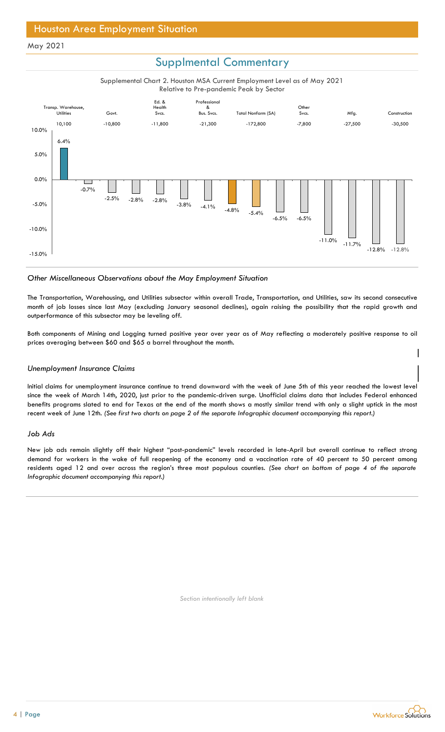## Supplmental Commentary

Supplemental Chart 2. Houston MSA Current Employment Level as of May 2021 Relative to Pre-pandemic Peak by Sector



### Other Miscellaneous Observations about the May Employment Situation

The Transportation, Warehousing, and Utilities subsector within overall Trade, Transportation, and Utilities, saw its second consecutive month of job losses since last May (excluding January seasonal declines), again raising the possibility that the rapid growth and outperformance of this subsector may be leveling off.

Both components of Mining and Logging turned positive year over year as of May reflecting a moderately positive response to oil prices averaging between \$60 and \$65 a barrel throughout the month.

#### Unemployment Insurance Claims

Initial claims for unemployment insurance continue to trend downward with the week of June 5th of this year reached the lowest level since the week of March 14th, 2020, just prior to the pandemic-driven surge. Unofficial claims data that includes Federal enhanced benefits programs slated to end for Texas at the end of the month shows a mostly similar trend with only a slight uptick in the most recent week of June 12th. (See first two charts on page 2 of the separate Infographic document accompanying this report.)

#### Job Ads

New job ads remain slightly off their highest "post-pandemic" levels recorded in late-April but overall continue to reflect strong demand for workers in the wake of full reopening of the economy and a vaccination rate of 40 percent to 50 percent among residents aged 12 and over across the region's three most populous counties. (See chart on bottom of page 4 of the separate Infographic document accompanying this report.)

Section intentionally left blank



 $\overline{\phantom{a}}$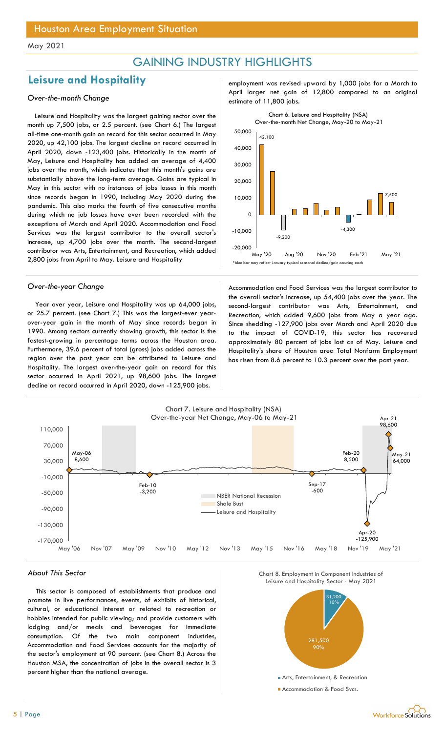## GAINING INDUSTRY HIGHLIGHTS

## Leisure and Hospitality entity the mployment was revised upward by 1,000 jobs for a March to

Leisure and Hospitality was the largest gaining sector over the month up 7,500 jobs, or 2.5 percent. (see Chart 6.) The largest all-time one-month gain on record for this sector occurred in May 2020, up 42,100 jobs. The largest decline on record occurred in April 2020, down -123,400 jobs. Historically in the month of May, Leisure and Hospitality has added an average of 4,400 jobs over the month, which indicates that this month's gains are substantially above the long-term average. Gains are typical in May in this sector with no instances of jobs losses in this month since records began in 1990, including May 2020 during the pandemic. This also marks the fourth of five consecutive months during which no job losses have ever been recorded with the exceptions of March and April 2020. Accommodation and Food Services was the largest contributor to the overall sector's increase, up 4,700 jobs over the month. The second-largest contributor was Arts, Entertainment, and Recreation, which added 2,800 jobs from April to May. Leisure and Hospitality

Year over year, Leisure and Hospitality was up 64,000 jobs, or 25.7 percent. (see Chart 7.) This was the largest-ever yearover-year gain in the month of May since records began in 1990. Among sectors currently showing growth, this sector is the fastest-growing in percentage terms across the Houston area. Furthermore, 39.6 percent of total (gross) jobs added across the region over the past year can be attributed to Leisure and Hospitality. The largest over-the-year gain on record for this sector occurred in April 2021, up 98,600 jobs. The largest decline on record occurred in April 2020, down -125,900 jobs.

April larger net gain of 12,800 compared to an original estimate of 11,800 jobs.



Over-the-year Change and Theorem Accommodation and Food Services was the largest contributor to the overall sector's increase, up 54,400 jobs over the year. The second-largest contributor was Arts, Entertainment, and Recreation, which added 9,600 jobs from May a year ago. Since shedding -127,900 jobs over March and April 2020 due to the impact of COVID-19, this sector has recovered approximately 80 percent of jobs lost as of May. Leisure and Hospitality's share of Houston area Total Nonfarm Employment has risen from 8.6 percent to 10.3 percent over the past year.



#### About This Sector

This sector is composed of establishments that produce and promote in live performances, events, of exhibits of historical, cultural, or educational interest or related to recreation or hobbies intended for public viewing; and provide customers with lodging and/or meals and beverages for immediate consumption. Of the two main component industries, Accommodation and Food Services accounts for the majority of the sector's employment at 90 percent. (see Chart 8.) Across the Houston MSA, the concentration of jobs in the overall sector is 3 percent higher than the national average.



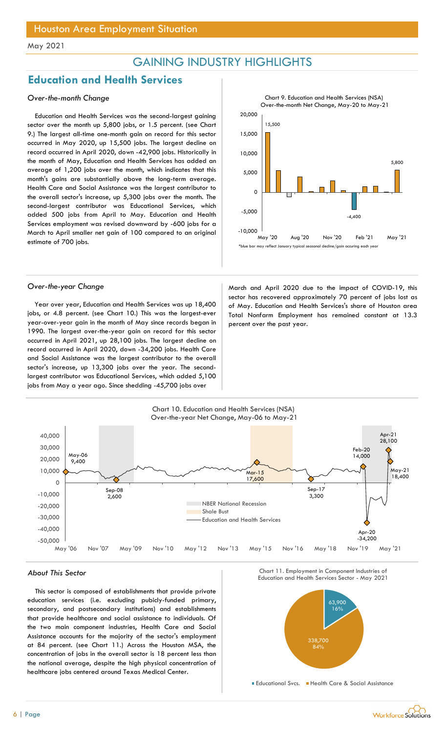## GAINING INDUSTRY HIGHLIGHTS

## Education and Health Services

### Over-the-month Change

Education and Health Services was the second-largest gaining sector over the month up 5,800 jobs, or 1.5 percent. (see Chart 9.) The largest all-time one-month gain on record for this sector occurred in May 2020, up 15,500 jobs. The largest decline on record occurred in April 2020, down -42,900 jobs. Historically in the month of May, Education and Health Services has added an average of 1,200 jobs over the month, which indicates that this month's gains are substantially above the long-term average. Health Care and Social Assistance was the largest contributor to the overall sector's increase, up 5,300 jobs over the month. The second-largest contributor was Educational Services, which added 500 jobs from April to May. Education and Health Services employment was revised downward by -600 jobs for a March to April smaller net gain of 100 compared to an original estimate of 700 jobs.



Year over year, Education and Health Services was up 18,400 jobs, or 4.8 percent. (see Chart 10.) This was the largest-ever year-over-year gain in the month of May since records began in 1990. The largest over-the-year gain on record for this sector occurred in April 2021, up 28,100 jobs. The largest decline on record occurred in April 2020, down -34,200 jobs. Health Care and Social Assistance was the largest contributor to the overall sector's increase, up 13,300 jobs over the year. The secondlargest contributor was Educational Services, which added 5,100 jobs from May a year ago. Since shedding -45,700 jobs over

Over-the-year Change and April 2020 due to the impact of COVID-19, this sector has recovered approximately 70 percent of jobs lost as of May. Education and Health Services's share of Houston area Total Nonfarm Employment has remained constant at 13.3 percent over the past year.



This sector is composed of establishments that provide private education services (i.e. excluding pubicly-funded primary, secondary, and postsecondary institutions) and establishments that provide healthcare and social assistance to individuals. Of the two main component industries, Health Care and Social Assistance accounts for the majority of the sector's employment at 84 percent. (see Chart 11.) Across the Houston MSA, the concentration of jobs in the overall sector is 18 percent less than the national average, despite the high physical concentration of healthcare jobs centered around Texas Medical Center.





Educational Svcs. Health Care & Social Assistance

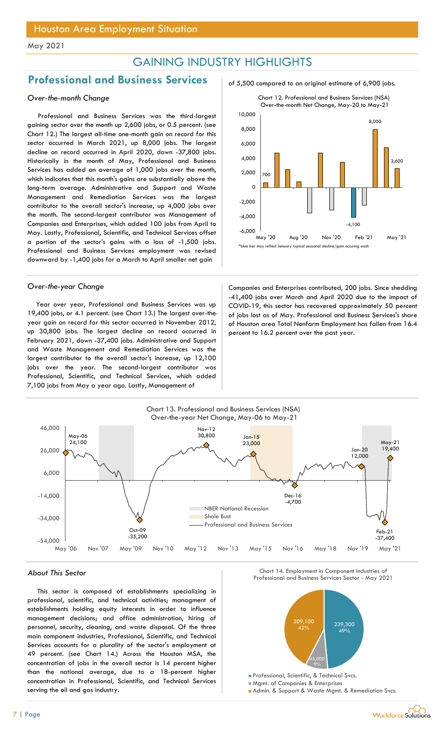## GAINING INDUSTRY HIGHLIGHTS

## Professional and Business Services and 5,500 compared to an original estimate of 6,900 jobs.

### Over-the-month Change

Professional and Business Services was the third-largest gaining sector over the month up 2,600 jobs, or 0.5 percent. (see Chart 12.) The largest all-time one-month gain on record for this sector occurred in March 2021, up 8,000 jobs. The largest decline on record occurred in April 2020, down -37,800 jobs. Historically in the month of May, Professional and Business Services has added an average of 1,000 jobs over the month, which indicates that this month's gains are substantially above the long-term average. Administrative and Support and Waste Management and Remediation Services was the largest contributor to the overall sector's increase, up 4,000 jobs over the month. The second-largest contributor was Management of Companies and Enterprises, which added 100 jobs from April to May. Lastly, Professional, Scientific, and Technical Services offset a portion of the sector's gains with a loss of -1,500 jobs. Professional and Business Services employment was revised downward by -1,400 jobs for a March to April smaller net gain

Year over year, Professional and Business Services was up 19,400 jobs, or 4.1 percent. (see Chart 13.) The largest over-theyear gain on record for this sector occurred in November 2012, up 30,800 jobs. The largest decline on record occurred in February 2021, down -37,400 jobs. Administrative and Support and Waste Management and Remediation Services was the largest contributor to the overall sector's increase, up 12,100 jobs over the year. The second-largest contributor was Professional, Scientific, and Technical Services, which added 7,100 jobs from May a year ago. Lastly, Management of





Over-the-year Change Companies and Enterprises contributed, 200 jobs. Since shedding -41,400 jobs over March and April 2020 due to the impact of COVID-19, this sector has recovered approximately 50 percent of jobs lost as of May. Professional and Business Services's share of Houston area Total Nonfarm Employment has fallen from 16.4 percent to 16.2 percent over the past year.



This sector is composed of establishments specializing in professional, scientific, and technical activities; managment of establishments holding equity interests in order to influence management decisions; and office administration, hiring of personnel, security, cleaning, and waste disposal. Of the three main component industries, Professional, Scientific, and Technical Services accounts for a plurality of the sector's employment at 49 percent. (see Chart 14.) Across the Houston MSA, the concentration of jobs in the overall sector is 14 percent higher than the national average, due to a 18-percent higher concentration in Professional, Scientific, and Technical Services serving the oil and gas industry.





Mgmt. of Companies & Enterprises

**Admin. & Support & Waste Mgmt. & Remediation Svcs.**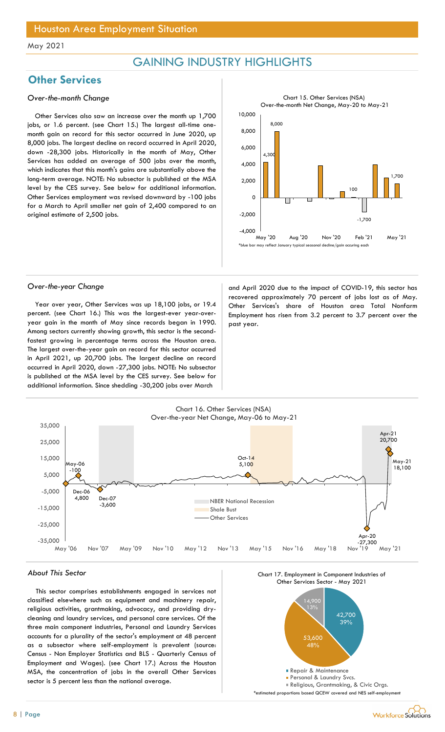## GAINING INDUSTRY HIGHLIGHTS

## **Other Services**

### Over-the-month Change

Other Services also saw an increase over the month up 1,700 jobs, or 1.6 percent. (see Chart 15.) The largest all-time onemonth gain on record for this sector occurred in June 2020, up 8,000 jobs. The largest decline on record occurred in April 2020, down -28,300 jobs. Historically in the month of May, Other Services has added an average of 500 jobs over the month, which indicates that this month's gains are substantially above the long-term average. NOTE: No subsector is published at the MSA level by the CES survey. See below for additional information. Other Services employment was revised downward by -100 jobs for a March to April smaller net gain of 2,400 compared to an original estimate of 2,500 jobs.



Year over year, Other Services was up 18,100 jobs, or 19.4 percent. (see Chart 16.) This was the largest-ever year-overyear gain in the month of May since records began in 1990. Among sectors currently showing growth, this sector is the secondfastest growing in percentage terms across the Houston area. The largest over-the-year gain on record for this sector occurred in April 2021, up 20,700 jobs. The largest decline on record occurred in April 2020, down -27,300 jobs. NOTE: No subsector is published at the MSA level by the CES survey. See below for additional information. Since shedding -30,200 jobs over March

Over-the-year Change and April 2020 due to the impact of COVID-19, this sector has recovered approximately 70 percent of jobs lost as of May. Other Services's share of Houston area Total Nonfarm Employment has risen from 3.2 percent to 3.7 percent over the past year.



#### About This Sector

8 | Page

This sector comprises establishments engaged in services not classified elsewhere such as equipment and machinery repair, religious activities, grantmaking, advocacy, and providing drycleaning and laundry services, and personal care services. Of the three main component industries, Personal and Laundry Services accounts for a plurality of the sector's employment at 48 percent as a subsector where self-employment is prevalent (source: Census - Non Employer Statistics and BLS - Quarterly Census of Employment and Wages). (see Chart 17.) Across the Houston MSA, the concentration of jobs in the overall Other Services sector is 5 percent less than the national average.

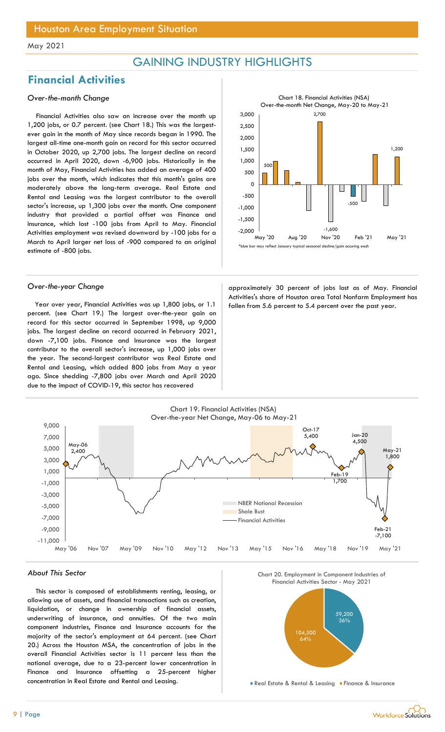## GAINING INDUSTRY HIGHLIGHTS

## Financial Activities

### Over-the-month Change

Financial Activities also saw an increase over the month up 1,200 jobs, or 0.7 percent. (see Chart 18.) This was the largestever gain in the month of May since records began in 1990. The largest all-time one-month gain on record for this sector occurred in October 2020, up 2,700 jobs. The largest decline on record occurred in April 2020, down -6,900 jobs. Historically in the month of May, Financial Activities has added an average of 400 jobs over the month, which indicates that this month's gains are moderately above the long-term average. Real Estate and Rental and Leasing was the largest contributor to the overall sector's increase, up 1,300 jobs over the month. One component industry that provided a partial offset was Finance and Insurance, which lost -100 jobs from April to May. Financial Activities employment was revised downward by -100 jobs for a March to April larger net loss of -900 compared to an original estimate of -800 jobs.

Year over year, Financial Activities was up 1,800 jobs, or 1.1 fallen from 5.6 percent to 5.4 percent over the past year. percent. (see Chart 19.) The largest over-the-year gain on record for this sector occurred in September 1998, up 9,000 jobs. The largest decline on record occurred in February 2021, down -7,100 jobs. Finance and Insurance was the largest contributor to the overall sector's increase, up 1,000 jobs over the year. The second-largest contributor was Real Estate and Rental and Leasing, which added 800 jobs from May a year ago. Since shedding -7,800 jobs over March and April 2020 due to the impact of COVID-19, this sector has recovered



Over-the-year Change and approximately 30 percent of jobs lost as of May. Financial Activities's share of Houston area Total Nonfarm Employment has



#### About This Sector

This sector is composed of establishments renting, leasing, or allowing use of assets, and financial transactions such as creation, liquidation, or change in ownership of financial assets, underwriting of insurance, and annuities. Of the two main component industries, Finance and Insurance accounts for the majority of the sector's employment at 64 percent. (see Chart 20.) Across the Houston MSA, the concentration of jobs in the overall Financial Activities sector is 11 percent less than the national average, due to a 23-percent lower concentration in Finance and Insurance offsetting a 25-percent higher concentration in Real Estate and Rental and Leasing.





**Real Estate & Rental & Leasing Finance & Insurance**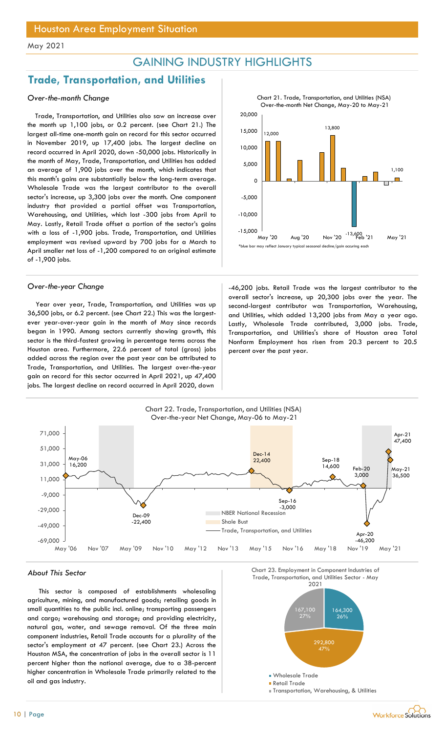## GAINING INDUSTRY HIGHLIGHTS

## Trade, Transportation, and Utilities

### Over-the-month Change

Trade, Transportation, and Utilities also saw an increase over the month up 1,100 jobs, or 0.2 percent. (see Chart 21.) The largest all-time one-month gain on record for this sector occurred in November 2019, up 17,400 jobs. The largest decline on record occurred in April 2020, down -50,000 jobs. Historically in the month of May, Trade, Transportation, and Utilities has added an average of 1,900 jobs over the month, which indicates that this month's gains are substantially below the long-term average. Wholesale Trade was the largest contributor to the overall sector's increase, up 3,300 jobs over the month. One component industry that provided a partial offset was Transportation, Warehousing, and Utilities, which lost -300 jobs from April to May. Lastly, Retail Trade offset a portion of the sector's gains with a loss of -1,900 jobs. Trade, Transportation, and Utilities employment was revised upward by 700 jobs for a March to April smaller net loss of -1,200 compared to an original estimate of -1,900 jobs.

Year over year, Trade, Transportation, and Utilities was up 36,500 jobs, or 6.2 percent. (see Chart 22.) This was the largestever year-over-year gain in the month of May since records began in 1990. Among sectors currently showing growth, this sector is the third-fastest growing in percentage terms across the Houston area. Furthermore, 22.6 percent of total (gross) jobs added across the region over the past year can be attributed to Trade, Transportation, and Utilities. The largest over-the-year gain on record for this sector occurred in April 2021, up 47,400 jobs. The largest decline on record occurred in April 2020, down



Chart 21. Trade, Transportation, and Utilities (NSA)

Over-the-year Change and the state of the -46,200 jobs. Retail Trade was the largest contributor to the overall sector's increase, up 20,300 jobs over the year. The second-largest contributor was Transportation, Warehousing, and Utilities, which added 13,200 jobs from May a year ago. Lastly, Wholesale Trade contributed, 3,000 jobs. Trade, Transportation, and Utilities's share of Houston area Total Nonfarm Employment has risen from 20.3 percent to 20.5 percent over the past year.



This sector is composed of establishments wholesaling agriculture, mining, and manufactured goods; retailing goods in small quantities to the public incl. online; transporting passengers and cargo; warehousing and storage; and providing electricity, natural gas, water, and sewage removal. Of the three main component industries, Retail Trade accounts for a plurality of the sector's employment at 47 percent. (see Chart 23.) Across the Houston MSA, the concentration of jobs in the overall sector is 11 percent higher than the national average, due to a 38-percent higher concentration in Wholesale Trade primarily related to the oil and gas industry.

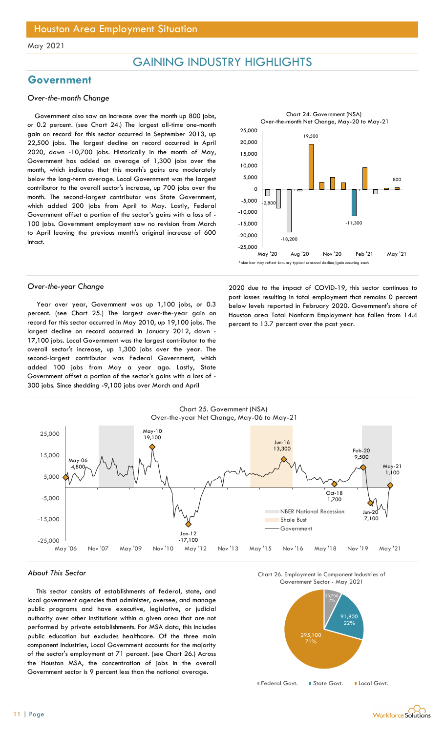## GAINING INDUSTRY HIGHLIGHTS

## Government

### Over-the-month Change

Government also saw an increase over the month up 800 jobs, or 0.2 percent. (see Chart 24.) The largest all-time one-month gain on record for this sector occurred in September 2013, up 22,500 jobs. The largest decline on record occurred in April 2020, down -10,700 jobs. Historically in the month of May, Government has added an average of 1,300 jobs over the month, which indicates that this month's gains are moderately below the long-term average. Local Government was the largest contributor to the overall sector's increase, up 700 jobs over the month. The second-largest contributor was State Government, which added 200 jobs from April to May. Lastly, Federal Government offset a portion of the sector's gains with a loss of - 100 jobs. Government employment saw no revision from March to April leaving the previous month's original increase of 600 intact.



Year over year, Government was up 1,100 jobs, or 0.3 percent. (see Chart 25.) The largest over-the-year gain on record for this sector occurred in May 2010, up 19,100 jobs. The largest decline on record occurred in January 2012, down - 17,100 jobs. Local Government was the largest contributor to the overall sector's increase, up 1,300 jobs over the year. The second-largest contributor was Federal Government, which added 100 jobs from May a year ago. Lastly, State Government offset a portion of the sector's gains with a loss of - 300 jobs. Since shedding -9,100 jobs over March and April

Over-the-year Change 2020 due to the impact of COVID-19, this sector continues to post losses resulting in total employment that remains 0 percent below levels reported in February 2020. Government's share of Houston area Total Nonfarm Employment has fallen from 14.4 percent to 13.7 percent over the past year.



#### About This Sector

This sector consists of establishments of federal, state, and local government agencies that administer, oversee, and manage public programs and have executive, legislative, or judicial authority over other institutions within a given area that are not performed by private establishments. For MSA data, this includes public education but excludes healthcare. Of the three main component industries, Local Government accounts for the majority of the sector's employment at 71 percent. (see Chart 26.) Across the Houston MSA, the concentration of jobs in the overall Government sector is 9 percent less than the national average.





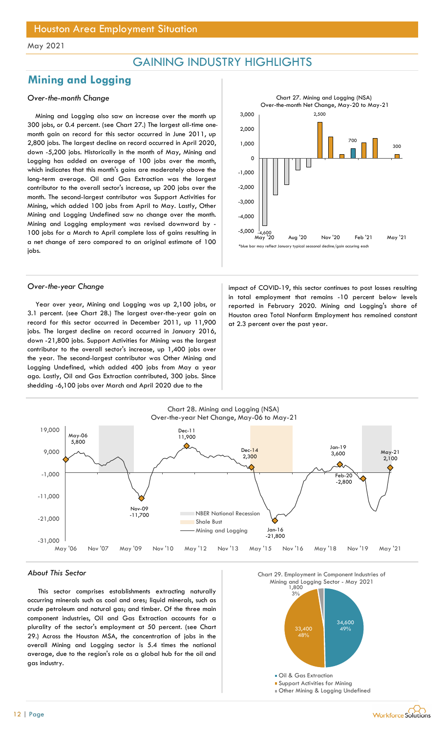## GAINING INDUSTRY HIGHLIGHTS

## Mining and Logging

### Over-the-month Change

Mining and Logging also saw an increase over the month up 300 jobs, or 0.4 percent. (see Chart 27.) The largest all-time onemonth gain on record for this sector occurred in June 2011, up 2,800 jobs. The largest decline on record occurred in April 2020, down -5,200 jobs. Historically in the month of May, Mining and Logging has added an average of 100 jobs over the month, which indicates that this month's gains are moderately above the long-term average. Oil and Gas Extraction was the largest contributor to the overall sector's increase, up 200 jobs over the month. The second-largest contributor was Support Activities for Mining, which added 100 jobs from April to May. Lastly, Other Mining and Logging Undefined saw no change over the month. Mining and Logging employment was revised downward by - 100 jobs for a March to April complete loss of gains resulting in a net change of zero compared to an original estimate of 100 jobs.



Year over year, Mining and Logging was up 2,100 jobs, or 3.1 percent. (see Chart 28.) The largest over-the-year gain on record for this sector occurred in December 2011, up 11,900 jobs. The largest decline on record occurred in January 2016, down -21,800 jobs. Support Activities for Mining was the largest contributor to the overall sector's increase, up 1,400 jobs over the year. The second-largest contributor was Other Mining and Logging Undefined, which added 400 jobs from May a year ago. Lastly, Oil and Gas Extraction contributed, 300 jobs. Since shedding -6,100 jobs over March and April 2020 due to the



Over-the-year Change impact of COVID-19, this sector continues to post losses resulting in total employment that remains -10 percent below levels reported in February 2020. Mining and Logging's share of Houston area Total Nonfarm Employment has remained constant at 2.3 percent over the past year.



#### About This Sector

This sector comprises establishments extracting naturally occurring minerals such as coal and ores; liquid minerals, such as crude petroleum and natural gas; and timber. Of the three main component industries, Oil and Gas Extraction accounts for a plurality of the sector's employment at 50 percent. (see Chart 29.) Across the Houston MSA, the concentration of jobs in the overall Mining and Logging sector is 5.4 times the national average, due to the region's role as a global hub for the oil and gas industry.



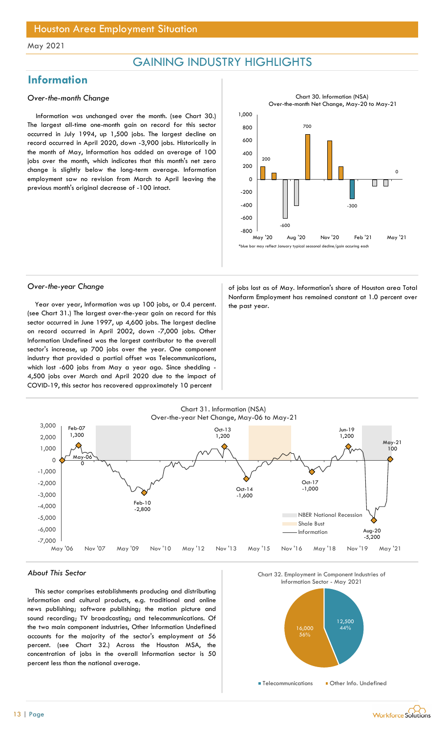## GAINING INDUSTRY HIGHLIGHTS

## Information

### Over-the-month Change

Information was unchanged over the month. (see Chart 30.) The largest all-time one-month gain on record for this sector occurred in July 1994, up 1,500 jobs. The largest decline on record occurred in April 2020, down -3,900 jobs. Historically in the month of May, Information has added an average of 100 jobs over the month, which indicates that this month's net zero change is slightly below the long-term average. Information employment saw no revision from March to April leaving the previous month's original decrease of -100 intact.



Year over year, Information was up 100 jobs, or 0.4 percent.  $\vert$  the past year. (see Chart 31.) The largest over-the-year gain on record for this sector occurred in June 1997, up 4,600 jobs. The largest decline on record occurred in April 2002, down -7,000 jobs. Other Information Undefined was the largest contributor to the overall sector's increase, up 700 jobs over the year. One component industry that provided a partial offset was Telecommunications, which lost -600 jobs from May a year ago. Since shedding - 4,500 jobs over March and April 2020 due to the impact of COVID-19, this sector has recovered approximately 10 percent

Over-the-year Change and Change and Controller of jobs lost as of May. Information's share of Houston area Total Nonfarm Employment has remained constant at 1.0 percent over



#### About This Sector

This sector comprises establishments producing and distributing information and cultural products, e.g. traditional and online news publishing; software publishing; the motion picture and sound recording; TV broadcasting; and telecommunications. Of the two main component industries, Other Information Undefined accounts for the majority of the sector's employment at 56 percent. (see Chart 32.) Across the Houston MSA, the concentration of jobs in the overall Information sector is 50 percent less than the national average.



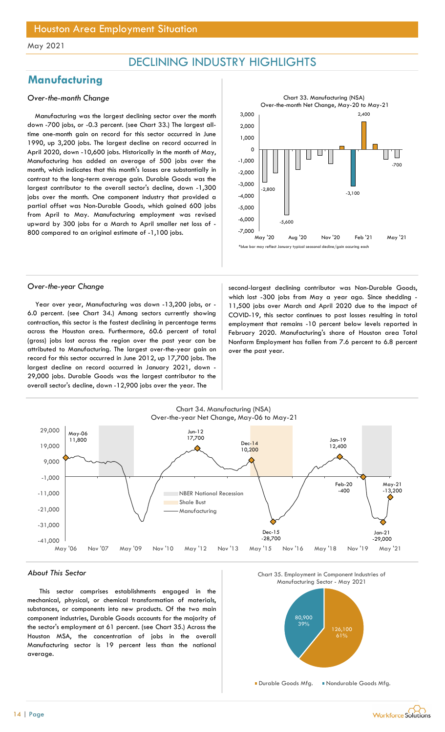## DECLINING INDUSTRY HIGHLIGHTS

## **Manufacturing**

### Over-the-month Change

Manufacturing was the largest declining sector over the month down -700 jobs, or -0.3 percent. (see Chart 33.) The largest alltime one-month gain on record for this sector occurred in June 1990, up 3,200 jobs. The largest decline on record occurred in April 2020, down -10,600 jobs. Historically in the month of May, Manufacturing has added an average of 500 jobs over the month, which indicates that this month's losses are substantially in contrast to the long-term average gain. Durable Goods was the largest contributor to the overall sector's decline, down -1,300 jobs over the month. One component industry that provided a partial offset was Non-Durable Goods, which gained 600 jobs from April to May. Manufacturing employment was revised upward by 300 jobs for a March to April smaller net loss of - 800 compared to an original estimate of -1,100 jobs.



Year over year, Manufacturing was down -13,200 jobs, or - 6.0 percent. (see Chart 34.) Among sectors currently showing contraction, this sector is the fastest declining in percentage terms across the Houston area. Furthermore, 60.6 percent of total (gross) jobs lost across the region over the past year can be attributed to Manufacturing. The largest over-the-year gain on record for this sector occurred in June 2012, up 17,700 jobs. The largest decline on record occurred in January 2021, down - 29,000 jobs. Durable Goods was the largest contributor to the overall sector's decline, down -12,900 jobs over the year. The

Over-the-year Change second-largest declining contributor was Non-Durable Goods, which lost -300 jobs from May a year ago. Since shedding -11,500 jobs over March and April 2020 due to the impact of COVID-19, this sector continues to post losses resulting in total employment that remains -10 percent below levels reported in February 2020. Manufacturing's share of Houston area Total Nonfarm Employment has fallen from 7.6 percent to 6.8 percent over the past year.



#### About This Sector

This sector comprises establishments engaged in the mechanical, physical, or chemical transformation of materials, substances, or components into new products. Of the two main component industries, Durable Goods accounts for the majority of the sector's employment at 61 percent. (see Chart 35.) Across the Houston MSA, the concentration of jobs in the overall Manufacturing sector is 19 percent less than the national average.



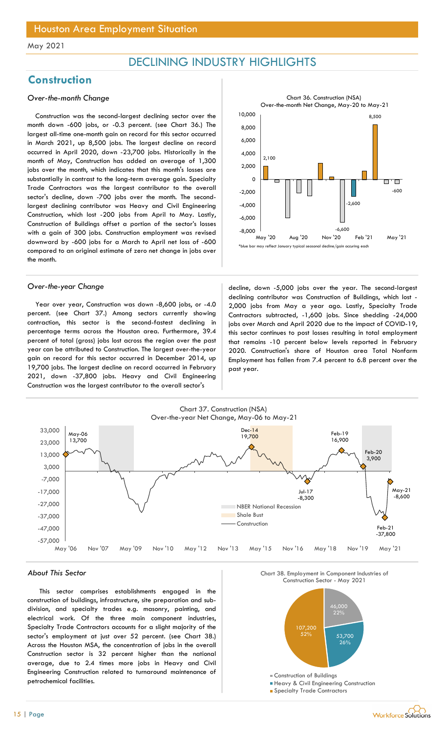## DECLINING INDUSTRY HIGHLIGHTS

## **Construction**

### Over-the-month Change

Construction was the second-largest declining sector over the month down -600 jobs, or -0.3 percent. (see Chart 36.) The largest all-time one-month gain on record for this sector occurred in March 2021, up 8,500 jobs. The largest decline on record occurred in April 2020, down -23,700 jobs. Historically in the month of May, Construction has added an average of 1,300 jobs over the month, which indicates that this month's losses are substantially in contrast to the long-term average gain. Specialty Trade Contractors was the largest contributor to the overall sector's decline, down -700 jobs over the month. The secondlargest declining contributor was Heavy and Civil Engineering Construction, which lost -200 jobs from April to May. Lastly, Construction of Buildings offset a portion of the sector's losses with a gain of 300 jobs. Construction employment was revised downward by -600 jobs for a March to April net loss of -600 compared to an original estimate of zero net change in jobs over the month.

Year over year, Construction was down -8,600 jobs, or -4.0 percent. (see Chart 37.) Among sectors currently showing contraction, this sector is the second-fastest declining in percentage terms across the Houston area. Furthermore, 39.4 percent of total (gross) jobs lost across the region over the past year can be attributed to Construction. The largest over-the-year gain on record for this sector occurred in December 2014, up 19,700 jobs. The largest decline on record occurred in February 2021, down -37,800 jobs. Heavy and Civil Engineering Construction was the largest contributor to the overall sector's



Over-the-year Change and a second-largest decline, down -5,000 jobs over the year. The second-largest declining contributor was Construction of Buildings, which lost - 2,000 jobs from May a year ago. Lastly, Specialty Trade Contractors subtracted, -1,600 jobs. Since shedding -24,000 jobs over March and April 2020 due to the impact of COVID-19, this sector continues to post losses resulting in total employment that remains -10 percent below levels reported in February 2020. Construction's share of Houston area Total Nonfarm Employment has fallen from 7.4 percent to 6.8 percent over the past year.



#### About This Sector

This sector comprises establishments engaged in the construction of buildings, infrastructure, site preparation and subdivision, and specialty trades e.g. masonry, painting, and electrical work. Of the three main component industries, Specialty Trade Contractors accounts for a slight majority of the sector's employment at just over 52 percent. (see Chart 38.) Across the Houston MSA, the concentration of jobs in the overall Construction sector is 32 percent higher than the national average, due to 2.4 times more jobs in Heavy and Civil Engineering Construction related to turnaround maintenance of petrochemical facilities.





- **Heavy & Civil Engineering Construction**
- **Specialty Trade Contractors**

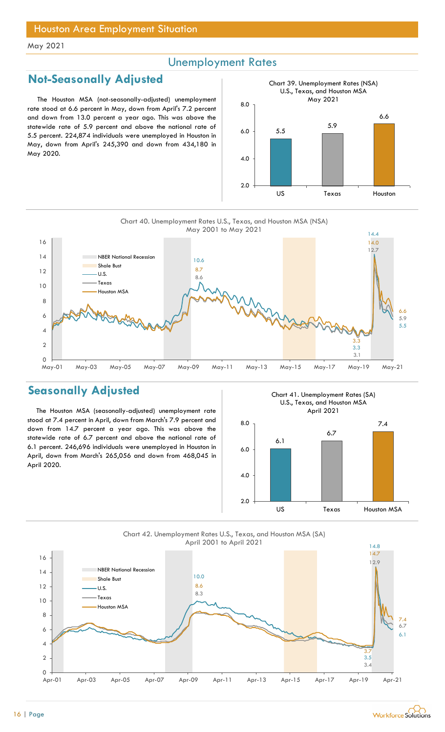## Unemployment Rates

## Not-Seasonally Adjusted

The Houston MSA (not-seasonally-adjusted) unemployment rate stood at 6.6 percent in May, down from April's 7.2 percent and down from 13.0 percent a year ago. This was above the statewide rate of 5.9 percent and above the national rate of 5.5 percent. 224,874 individuals were unemployed in Houston in May, down from April's 245,390 and down from 434,180 in May 2020.



Chart 40. Unemployment Rates U.S., Texas, and Houston MSA (NSA)



## Seasonally Adjusted

The Houston MSA (seasonally-adjusted) unemployment rate stood at 7.4 percent in April, down from March's 7.9 percent and down from 14.7 percent a year ago. This was above the statewide rate of 6.7 percent and above the national rate of 6.1 percent. 246,696 individuals were unemployed in Houston in April, down from March's 265,056 and down from 468,045 in April 2020.

Chart 41. Unemployment Rates (SA) U.S., Texas, and Houston MSA April 2021